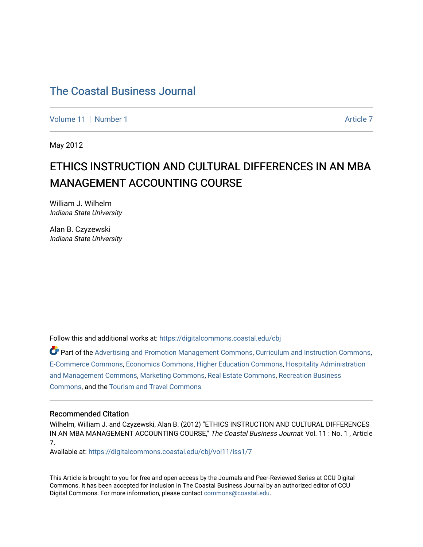[Volume 11](https://digitalcommons.coastal.edu/cbj/vol11) | [Number 1](https://digitalcommons.coastal.edu/cbj/vol11/iss1) [Article 7](https://digitalcommons.coastal.edu/cbj/vol11/iss1/7) Article 7 Article 7 Article 7 Article 7 Article 7 Article 7 Article 7

May 2012

### ETHICS INSTRUCTION AND CULTURAL DIFFERENCES IN AN MBA MANAGEMENT ACCOUNTING COURSE

William J. Wilhelm Indiana State University

Alan B. Czyzewski Indiana State University

Follow this and additional works at: [https://digitalcommons.coastal.edu/cbj](https://digitalcommons.coastal.edu/cbj?utm_source=digitalcommons.coastal.edu%2Fcbj%2Fvol11%2Fiss1%2F7&utm_medium=PDF&utm_campaign=PDFCoverPages) 

Part of the [Advertising and Promotion Management Commons,](http://network.bepress.com/hgg/discipline/626?utm_source=digitalcommons.coastal.edu%2Fcbj%2Fvol11%2Fiss1%2F7&utm_medium=PDF&utm_campaign=PDFCoverPages) [Curriculum and Instruction Commons,](http://network.bepress.com/hgg/discipline/786?utm_source=digitalcommons.coastal.edu%2Fcbj%2Fvol11%2Fiss1%2F7&utm_medium=PDF&utm_campaign=PDFCoverPages) [E-Commerce Commons,](http://network.bepress.com/hgg/discipline/624?utm_source=digitalcommons.coastal.edu%2Fcbj%2Fvol11%2Fiss1%2F7&utm_medium=PDF&utm_campaign=PDFCoverPages) [Economics Commons](http://network.bepress.com/hgg/discipline/340?utm_source=digitalcommons.coastal.edu%2Fcbj%2Fvol11%2Fiss1%2F7&utm_medium=PDF&utm_campaign=PDFCoverPages), [Higher Education Commons](http://network.bepress.com/hgg/discipline/1245?utm_source=digitalcommons.coastal.edu%2Fcbj%2Fvol11%2Fiss1%2F7&utm_medium=PDF&utm_campaign=PDFCoverPages), [Hospitality Administration](http://network.bepress.com/hgg/discipline/632?utm_source=digitalcommons.coastal.edu%2Fcbj%2Fvol11%2Fiss1%2F7&utm_medium=PDF&utm_campaign=PDFCoverPages) [and Management Commons,](http://network.bepress.com/hgg/discipline/632?utm_source=digitalcommons.coastal.edu%2Fcbj%2Fvol11%2Fiss1%2F7&utm_medium=PDF&utm_campaign=PDFCoverPages) [Marketing Commons](http://network.bepress.com/hgg/discipline/638?utm_source=digitalcommons.coastal.edu%2Fcbj%2Fvol11%2Fiss1%2F7&utm_medium=PDF&utm_campaign=PDFCoverPages), [Real Estate Commons](http://network.bepress.com/hgg/discipline/641?utm_source=digitalcommons.coastal.edu%2Fcbj%2Fvol11%2Fiss1%2F7&utm_medium=PDF&utm_campaign=PDFCoverPages), [Recreation Business](http://network.bepress.com/hgg/discipline/1083?utm_source=digitalcommons.coastal.edu%2Fcbj%2Fvol11%2Fiss1%2F7&utm_medium=PDF&utm_campaign=PDFCoverPages) [Commons](http://network.bepress.com/hgg/discipline/1083?utm_source=digitalcommons.coastal.edu%2Fcbj%2Fvol11%2Fiss1%2F7&utm_medium=PDF&utm_campaign=PDFCoverPages), and the [Tourism and Travel Commons](http://network.bepress.com/hgg/discipline/1082?utm_source=digitalcommons.coastal.edu%2Fcbj%2Fvol11%2Fiss1%2F7&utm_medium=PDF&utm_campaign=PDFCoverPages)

#### Recommended Citation

Wilhelm, William J. and Czyzewski, Alan B. (2012) "ETHICS INSTRUCTION AND CULTURAL DIFFERENCES IN AN MBA MANAGEMENT ACCOUNTING COURSE," The Coastal Business Journal: Vol. 11 : No. 1, Article 7.

Available at: [https://digitalcommons.coastal.edu/cbj/vol11/iss1/7](https://digitalcommons.coastal.edu/cbj/vol11/iss1/7?utm_source=digitalcommons.coastal.edu%2Fcbj%2Fvol11%2Fiss1%2F7&utm_medium=PDF&utm_campaign=PDFCoverPages) 

This Article is brought to you for free and open access by the Journals and Peer-Reviewed Series at CCU Digital Commons. It has been accepted for inclusion in The Coastal Business Journal by an authorized editor of CCU Digital Commons. For more information, please contact [commons@coastal.edu](mailto:commons@coastal.edu).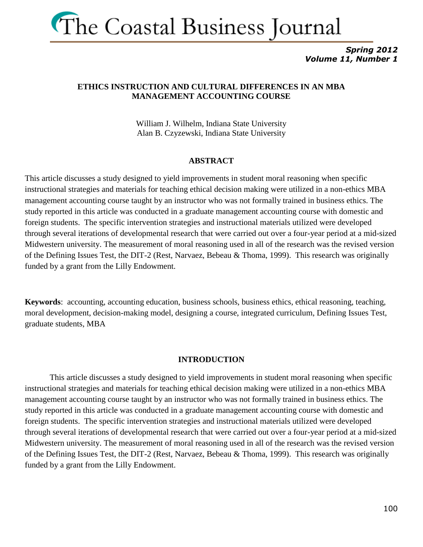

*Spring 2012 Volume 11, Number 1*

### **ETHICS INSTRUCTION AND CULTURAL DIFFERENCES IN AN MBA MANAGEMENT ACCOUNTING COURSE**

William J. Wilhelm, Indiana State University Alan B. Czyzewski, Indiana State University

#### **ABSTRACT**

This article discusses a study designed to yield improvements in student moral reasoning when specific instructional strategies and materials for teaching ethical decision making were utilized in a non-ethics MBA management accounting course taught by an instructor who was not formally trained in business ethics. The study reported in this article was conducted in a graduate management accounting course with domestic and foreign students. The specific intervention strategies and instructional materials utilized were developed through several iterations of developmental research that were carried out over a four-year period at a mid-sized Midwestern university. The measurement of moral reasoning used in all of the research was the revised version of the Defining Issues Test, the DIT-2 (Rest, Narvaez, Bebeau & Thoma, 1999). This research was originally funded by a grant from the Lilly Endowment.

**Keywords**: accounting, accounting education, business schools, business ethics, ethical reasoning, teaching, moral development, decision-making model, designing a course, integrated curriculum, Defining Issues Test, graduate students, MBA

#### **INTRODUCTION**

This article discusses a study designed to yield improvements in student moral reasoning when specific instructional strategies and materials for teaching ethical decision making were utilized in a non-ethics MBA management accounting course taught by an instructor who was not formally trained in business ethics. The study reported in this article was conducted in a graduate management accounting course with domestic and foreign students. The specific intervention strategies and instructional materials utilized were developed through several iterations of developmental research that were carried out over a four-year period at a mid-sized Midwestern university. The measurement of moral reasoning used in all of the research was the revised version of the Defining Issues Test, the DIT-2 (Rest, Narvaez, Bebeau & Thoma, 1999). This research was originally funded by a grant from the Lilly Endowment.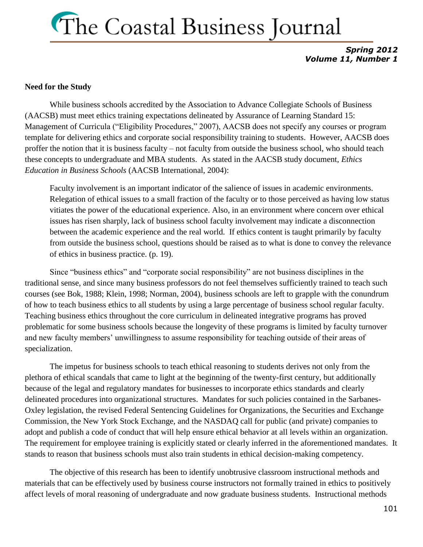*Spring 2012 Volume 11, Number 1*

#### **Need for the Study**

While business schools accredited by the Association to Advance Collegiate Schools of Business (AACSB) must meet ethics training expectations delineated by Assurance of Learning Standard 15: Management of Curricula ("Eligibility Procedures," 2007), AACSB does not specify any courses or program template for delivering ethics and corporate social responsibility training to students. However, AACSB does proffer the notion that it is business faculty – not faculty from outside the business school, who should teach these concepts to undergraduate and MBA students. As stated in the AACSB study document, *Ethics Education in Business Schools* (AACSB International, 2004):

Faculty involvement is an important indicator of the salience of issues in academic environments. Relegation of ethical issues to a small fraction of the faculty or to those perceived as having low status vitiates the power of the educational experience. Also, in an environment where concern over ethical issues has risen sharply, lack of business school faculty involvement may indicate a disconnection between the academic experience and the real world. If ethics content is taught primarily by faculty from outside the business school, questions should be raised as to what is done to convey the relevance of ethics in business practice. (p. 19).

Since "business ethics" and "corporate social responsibility" are not business disciplines in the traditional sense, and since many business professors do not feel themselves sufficiently trained to teach such courses (see Bok, 1988; Klein, 1998; Norman, 2004), business schools are left to grapple with the conundrum of how to teach business ethics to all students by using a large percentage of business school regular faculty. Teaching business ethics throughout the core curriculum in delineated integrative programs has proved problematic for some business schools because the longevity of these programs is limited by faculty turnover and new faculty members' unwillingness to assume responsibility for teaching outside of their areas of specialization.

The impetus for business schools to teach ethical reasoning to students derives not only from the plethora of ethical scandals that came to light at the beginning of the twenty-first century, but additionally because of the legal and regulatory mandates for businesses to incorporate ethics standards and clearly delineated procedures into organizational structures. Mandates for such policies contained in the Sarbanes-Oxley legislation, the revised Federal Sentencing Guidelines for Organizations, the Securities and Exchange Commission, the New York Stock Exchange, and the NASDAQ call for public (and private) companies to adopt and publish a code of conduct that will help ensure ethical behavior at all levels within an organization. The requirement for employee training is explicitly stated or clearly inferred in the aforementioned mandates. It stands to reason that business schools must also train students in ethical decision-making competency.

The objective of this research has been to identify unobtrusive classroom instructional methods and materials that can be effectively used by business course instructors not formally trained in ethics to positively affect levels of moral reasoning of undergraduate and now graduate business students. Instructional methods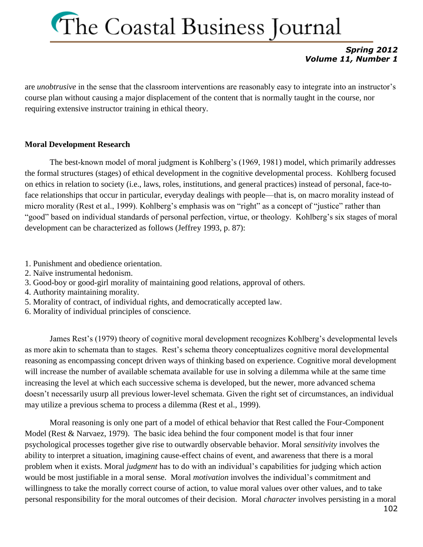### *Spring 2012 Volume 11, Number 1*

are *unobtrusive* in the sense that the classroom interventions are reasonably easy to integrate into an instructor's course plan without causing a major displacement of the content that is normally taught in the course, nor requiring extensive instructor training in ethical theory.

### **Moral Development Research**

The best-known model of moral judgment is Kohlberg's (1969, 1981) model, which primarily addresses the formal structures (stages) of ethical development in the cognitive developmental process. Kohlberg focused on ethics in relation to society (i.e., laws, roles, institutions, and general practices) instead of personal, face-toface relationships that occur in particular, everyday dealings with people—that is, on macro morality instead of micro morality (Rest et al., 1999). Kohlberg's emphasis was on "right" as a concept of "justice" rather than "good" based on individual standards of personal perfection, virtue, or theology. Kohlberg's six stages of moral development can be characterized as follows (Jeffrey 1993, p. 87):

- 1. Punishment and obedience orientation.
- 2. Naïve instrumental hedonism.
- 3. Good-boy or good-girl morality of maintaining good relations, approval of others.
- 4. Authority maintaining morality.
- 5. Morality of contract, of individual rights, and democratically accepted law.
- 6. Morality of individual principles of conscience.

James Rest's (1979) theory of cognitive moral development recognizes Kohlberg's developmental levels as more akin to schemata than to stages. Rest's schema theory conceptualizes cognitive moral developmental reasoning as encompassing concept driven ways of thinking based on experience. Cognitive moral development will increase the number of available schemata available for use in solving a dilemma while at the same time increasing the level at which each successive schema is developed, but the newer, more advanced schema doesn't necessarily usurp all previous lower-level schemata. Given the right set of circumstances, an individual may utilize a previous schema to process a dilemma (Rest et al., 1999).

Moral reasoning is only one part of a model of ethical behavior that Rest called the Four-Component Model (Rest & Narvaez, 1979). The basic idea behind the four component model is that four inner psychological processes together give rise to outwardly observable behavior. Moral *sensitivity* involves the ability to interpret a situation, imagining cause-effect chains of event, and awareness that there is a moral problem when it exists. Moral *judgment* has to do with an individual's capabilities for judging which action would be most justifiable in a moral sense. Moral *motivation* involves the individual's commitment and willingness to take the morally correct course of action, to value moral values over other values, and to take personal responsibility for the moral outcomes of their decision. Moral *character* involves persisting in a moral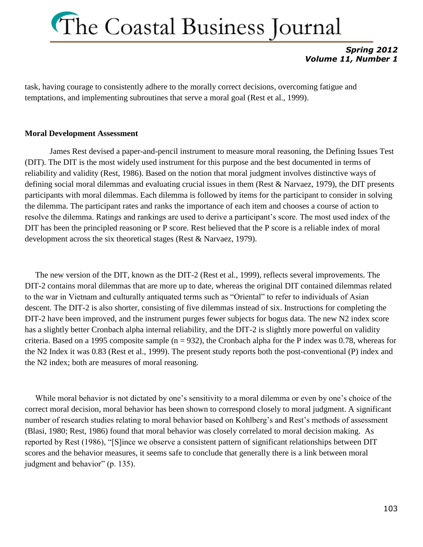### *Spring 2012 Volume 11, Number 1*

task, having courage to consistently adhere to the morally correct decisions, overcoming fatigue and temptations, and implementing subroutines that serve a moral goal (Rest et al., 1999).

### **Moral Development Assessment**

James Rest devised a paper-and-pencil instrument to measure moral reasoning, the Defining Issues Test (DIT). The DIT is the most widely used instrument for this purpose and the best documented in terms of reliability and validity (Rest, 1986). Based on the notion that moral judgment involves distinctive ways of defining social moral dilemmas and evaluating crucial issues in them (Rest & Narvaez, 1979), the DIT presents participants with moral dilemmas. Each dilemma is followed by items for the participant to consider in solving the dilemma. The participant rates and ranks the importance of each item and chooses a course of action to resolve the dilemma. Ratings and rankings are used to derive a participant's score. The most used index of the DIT has been the principled reasoning or P score. Rest believed that the P score is a reliable index of moral development across the six theoretical stages (Rest & Narvaez, 1979).

 The new version of the DIT, known as the DIT-2 (Rest et al., 1999), reflects several improvements. The DIT-2 contains moral dilemmas that are more up to date, whereas the original DIT contained dilemmas related to the war in Vietnam and culturally antiquated terms such as "Oriental" to refer to individuals of Asian descent. The DIT-2 is also shorter, consisting of five dilemmas instead of six. Instructions for completing the DIT-2 have been improved, and the instrument purges fewer subjects for bogus data. The new N2 index score has a slightly better Cronbach alpha internal reliability, and the DIT-2 is slightly more powerful on validity criteria. Based on a 1995 composite sample ( $n = 932$ ), the Cronbach alpha for the P index was 0.78, whereas for the N2 Index it was 0.83 (Rest et al., 1999). The present study reports both the post-conventional (P) index and the N2 index; both are measures of moral reasoning.

 While moral behavior is not dictated by one's sensitivity to a moral dilemma or even by one's choice of the correct moral decision, moral behavior has been shown to correspond closely to moral judgment. A significant number of research studies relating to moral behavior based on Kohlberg's and Rest's methods of assessment (Blasi, 1980; Rest, 1986) found that moral behavior was closely correlated to moral decision making. As reported by Rest (1986), "[S]ince we observe a consistent pattern of significant relationships between DIT scores and the behavior measures, it seems safe to conclude that generally there is a link between moral judgment and behavior" (p. 135).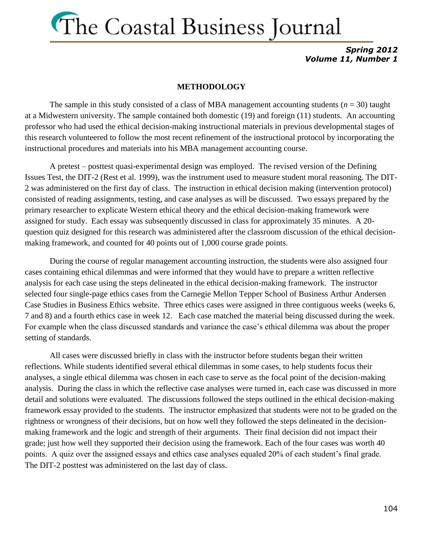*Spring 2012 Volume 11, Number 1*

#### **METHODOLOGY**

The sample in this study consisted of a class of MBA management accounting students  $(n = 30)$  taught at a Midwestern university. The sample contained both domestic (19) and foreign (11) students. An accounting professor who had used the ethical decision-making instructional materials in previous developmental stages of this research volunteered to follow the most recent refinement of the instructional protocol by incorporating the instructional procedures and materials into his MBA management accounting course.

A pretest – posttest quasi-experimental design was employed. The revised version of the Defining Issues Test, the DIT-2 (Rest et al. 1999), was the instrument used to measure student moral reasoning. The DIT-2 was administered on the first day of class. The instruction in ethical decision making (intervention protocol) consisted of reading assignments, testing, and case analyses as will be discussed. Two essays prepared by the primary researcher to explicate Western ethical theory and the ethical decision-making framework were assigned for study. Each essay was subsequently discussed in class for approximately 35 minutes. A 20 question quiz designed for this research was administered after the classroom discussion of the ethical decisionmaking framework, and counted for 40 points out of 1,000 course grade points.

During the course of regular management accounting instruction, the students were also assigned four cases containing ethical dilemmas and were informed that they would have to prepare a written reflective analysis for each case using the steps delineated in the ethical decision-making framework. The instructor selected four single-page ethics cases from the Carnegie Mellon Tepper School of Business Arthur Andersen Case Studies in Business Ethics website. Three ethics cases were assigned in three contiguous weeks (weeks 6, 7 and 8) and a fourth ethics case in week 12. Each case matched the material being discussed during the week. For example when the class discussed standards and variance the case's ethical dilemma was about the proper setting of standards.

All cases were discussed briefly in class with the instructor before students began their written reflections. While students identified several ethical dilemmas in some cases, to help students focus their analyses, a single ethical dilemma was chosen in each case to serve as the focal point of the decision-making analysis. During the class in which the reflective case analyses were turned in, each case was discussed in more detail and solutions were evaluated. The discussions followed the steps outlined in the ethical decision-making framework essay provided to the students. The instructor emphasized that students were not to be graded on the rightness or wrongness of their decisions, but on how well they followed the steps delineated in the decisionmaking framework and the logic and strength of their arguments. Their final decision did not impact their grade; just how well they supported their decision using the framework. Each of the four cases was worth 40 points. A quiz over the assigned essays and ethics case analyses equaled 20% of each student's final grade. The DIT-2 posttest was administered on the last day of class.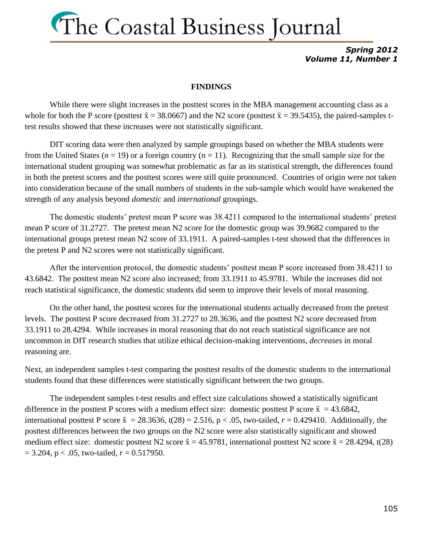*Spring 2012 Volume 11, Number 1*

#### **FINDINGS**

While there were slight increases in the posttest scores in the MBA management accounting class as a whole for both the P score (posttest  $\bar{x} = 38.0667$ ) and the N2 score (posttest  $\bar{x} = 39.5435$ ), the paired-samples ttest results showed that these increases were not statistically significant.

DIT scoring data were then analyzed by sample groupings based on whether the MBA students were from the United States ( $n = 19$ ) or a foreign country ( $n = 11$ ). Recognizing that the small sample size for the international student grouping was somewhat problematic as far as its statistical strength, the differences found in both the pretest scores and the posttest scores were still quite pronounced. Countries of origin were not taken into consideration because of the small numbers of students in the sub-sample which would have weakened the strength of any analysis beyond *domestic* and *international* groupings.

The domestic students' pretest mean P score was 38.4211 compared to the international students' pretest mean P score of 31.2727. The pretest mean N2 score for the domestic group was 39.9682 compared to the international groups pretest mean N2 score of 33.1911. A paired-samples t-test showed that the differences in the pretest P and N2 scores were not statistically significant.

After the intervention protocol, the domestic students' posttest mean P score increased from 38.4211 to 43.6842. The posttest mean N2 score also increased; from 33.1911 to 45.9781. While the increases did not reach statistical significance, the domestic students did seem to improve their levels of moral reasoning.

On the other hand, the posttest scores for the international students actually decreased from the pretest levels. The posttest P score decreased from 31.2727 to 28.3636, and the posttest N2 score decreased from 33.1911 to 28.4294. While increases in moral reasoning that do not reach statistical significance are not uncommon in DIT research studies that utilize ethical decision-making interventions, *decreases* in moral reasoning are.

Next, an independent samples t-test comparing the posttest results of the domestic students to the international students found that these differences were statistically significant between the two groups.

The independent samples t-test results and effect size calculations showed a statistically significant difference in the posttest P scores with a medium effect size: domestic posttest P score  $\bar{x} = 43.6842$ , international posttest P score  $\bar{x} = 28.3636$ , t(28) = 2.516, p < .05, two-tailed, r = 0.429410. Additionally, the posttest differences between the two groups on the N2 score were also statistically significant and showed medium effect size: domestic posttest N2 score  $\bar{x} = 45.9781$ , international posttest N2 score  $\bar{x} = 28.4294$ , t(28)  $= 3.204$ ,  $p < .05$ , two-tailed,  $r = 0.517950$ .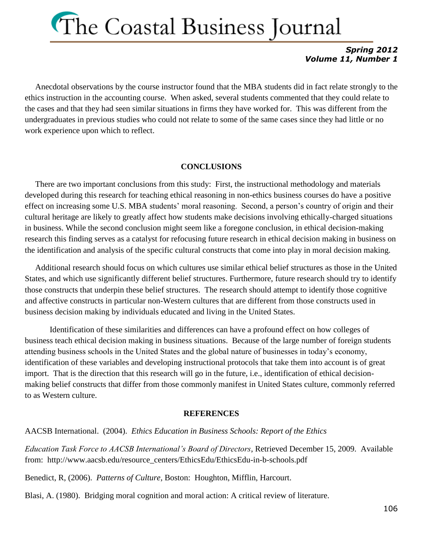### *Spring 2012 Volume 11, Number 1*

 Anecdotal observations by the course instructor found that the MBA students did in fact relate strongly to the ethics instruction in the accounting course. When asked, several students commented that they could relate to the cases and that they had seen similar situations in firms they have worked for. This was different from the undergraduates in previous studies who could not relate to some of the same cases since they had little or no work experience upon which to reflect.

### **CONCLUSIONS**

 There are two important conclusions from this study: First, the instructional methodology and materials developed during this research for teaching ethical reasoning in non-ethics business courses do have a positive effect on increasing some U.S. MBA students' moral reasoning. Second, a person's country of origin and their cultural heritage are likely to greatly affect how students make decisions involving ethically-charged situations in business. While the second conclusion might seem like a foregone conclusion, in ethical decision-making research this finding serves as a catalyst for refocusing future research in ethical decision making in business on the identification and analysis of the specific cultural constructs that come into play in moral decision making.

 Additional research should focus on which cultures use similar ethical belief structures as those in the United States, and which use significantly different belief structures. Furthermore, future research should try to identify those constructs that underpin these belief structures. The research should attempt to identify those cognitive and affective constructs in particular non-Western cultures that are different from those constructs used in business decision making by individuals educated and living in the United States.

Identification of these similarities and differences can have a profound effect on how colleges of business teach ethical decision making in business situations. Because of the large number of foreign students attending business schools in the United States and the global nature of businesses in today's economy, identification of these variables and developing instructional protocols that take them into account is of great import. That is the direction that this research will go in the future, i.e., identification of ethical decisionmaking belief constructs that differ from those commonly manifest in United States culture, commonly referred to as Western culture.

#### **REFERENCES**

AACSB International. (2004). *Ethics Education in Business Schools: Report of the Ethics* 

*Education Task Force to AACSB International's Board of Directors*, Retrieved December 15, 2009. Available from: http://www.aacsb.edu/resource\_centers/EthicsEdu/EthicsEdu-in-b-schools.pdf

Benedict, R, (2006). *Patterns of Culture,* Boston: Houghton, Mifflin, Harcourt.

Blasi, A. (1980). Bridging moral cognition and moral action: A critical review of literature.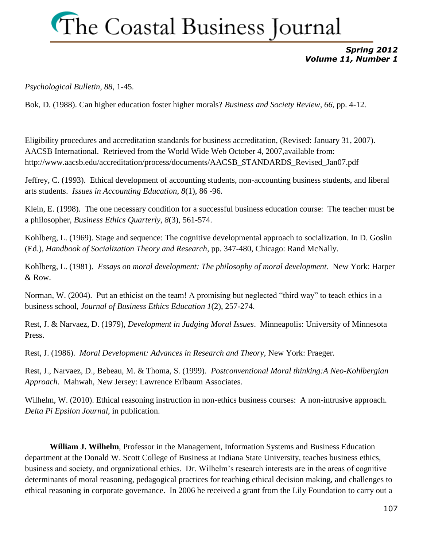### *Spring 2012 Volume 11, Number 1*

*Psychological Bulletin, 88,* 1-45.

Bok, D. (1988). Can higher education foster higher morals? *Business and Society Review, 66,* pp. 4-12*.*

Eligibility procedures and accreditation standards for business accreditation, (Revised: January 31, 2007). AACSB International. Retrieved from the World Wide Web October 4, 2007,available from: http://www.aacsb.edu/accreditation/process/documents/AACSB\_STANDARDS\_Revised\_Jan07.pdf

Jeffrey, C. (1993). Ethical development of accounting students, non-accounting business students, and liberal arts students. *Issues in Accounting Education*, *8*(1), 86 -96.

Klein, E. (1998). The one necessary condition for a successful business education course: The teacher must be a philosopher, *Business Ethics Quarterly, 8*(3), 561-574.

Kohlberg, L. (1969). Stage and sequence: The cognitive developmental approach to socialization. In D. Goslin (Ed.), *Handbook of Socialization Theory and Research*, pp. 347-480, Chicago: Rand McNally.

Kohlberg, L. (1981). *Essays on moral development: The philosophy of moral development.* New York: Harper & Row.

Norman, W. (2004). Put an ethicist on the team! A promising but neglected "third way" to teach ethics in a business school, *Journal of Business Ethics Education 1*(2), 257-274.

Rest, J. & Narvaez, D. (1979), *Development in Judging Moral Issues*. Minneapolis: University of Minnesota Press.

Rest, J. (1986). *Moral Development: Advances in Research and Theory*, New York: Praeger.

Rest, J., Narvaez, D., Bebeau, M. & Thoma, S. (1999). *Postconventional Moral thinking:A Neo-Kohlbergian Approach*. Mahwah, New Jersey: Lawrence Erlbaum Associates.

Wilhelm, W. (2010). Ethical reasoning instruction in non-ethics business courses: A non-intrusive approach. *Delta Pi Epsilon Journal*, in publication.

**William J. Wilhelm**, Professor in the Management, Information Systems and Business Education department at the Donald W. Scott College of Business at Indiana State University, teaches business ethics, business and society, and organizational ethics. Dr. Wilhelm's research interests are in the areas of cognitive determinants of moral reasoning, pedagogical practices for teaching ethical decision making, and challenges to ethical reasoning in corporate governance. In 2006 he received a grant from the Lily Foundation to carry out a